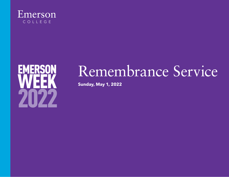



# Remembrance Service

**Sunday, May 1, 2022**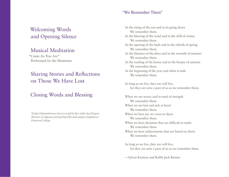## Welcoming Words and Opening Silence

#### Musical Meditation

"Come As You Are" Performed by the Skintones

### Sharing Stories and Reflections on Those We Have Lost

### Closing Words and Blessing

*Today's Remembrance Service is led by Rev. Julie Avis Rogers, director of religious and spiritual life and campus chaplain at Emerson College.*

#### "We Remember Them"

At the rising of the sun and at its going down We remember them. At the blowing of the wind and in the chill of winter We remember them. At the opening of the buds and in the rebirth of spring We remember them. At the blueness of the skies and in the warmth of summer We remember them. At the rustling of the leaves and in the beauty of autumn We remember them. At the beginning of the year and when it ends We remember them. As long as we live, they too will live, for they are now a part of us as we remember them. When we are weary and in need of strength We remember them. When we are lost and sick at heart We remember them. When we have joy we crave to share We remember them. When we have decisions that are difficult to make We remember them. When we have achievements that are based on theirs We remember them. As long as we live, they too will live, for they are now a part of us as we remember them.

—Sylvan Kamens and Rabbi Jack Riemer